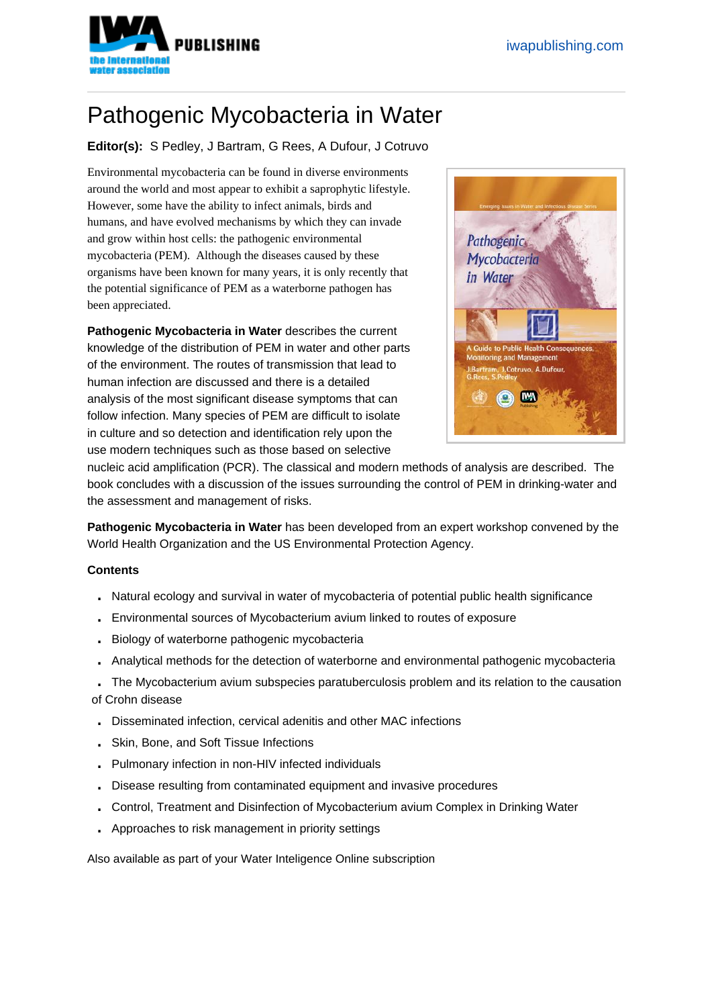## Pathogenic Mycobacteria in Water

Editor(s): S Pedley, J Bartram, G Rees, A Dufour, J Cotruvo

Environmental mycobacteria can be found in diverse environments around the world and most appear to exhibit a saprophytic lifestyle. However, some have the ability to infect animals, birds and humans, and have evolved mechanisms by which they can invade and grow within host cells: the pathogenic environmental mycobacteria (PEM). Although the diseases caused by these organisms have been known for many years, it is only recently that the potential significance of PEM as a waterborne pathogen has been appreciated.

Pathogenic Mycobacteria in Water describes the current knowledge of the distribution of PEM in water and other parts of the environment. The routes of transmission that lead to human infection are discussed and there is a detailed analysis of the most significant disease symptoms that can follow infection. Many species of PEM are difficult to isolate in culture and so detection and identification rely upon the use modern techniques such as those based on selective



nucleic acid amplification (PCR). The classical and modern methods of analysis are described. The book concludes with a discussion of the issues surrounding the control of PEM in drinking-water and the assessment and management of risks.

Pathogenic Mycobacteria in Water has been developed from an expert workshop convened by the World Health Organization and the US Environmental Protection Agency.

## **Contents**

- . Natural ecology and survival in water of mycobacteria of potential public health significance
- . Environmental sources of Mycobacterium avium linked to routes of exposure
- . Biology of waterborne pathogenic mycobacteria
- . Analytical methods for the detection of waterborne and environmental pathogenic mycobacteria
- . The Mycobacterium avium subspecies paratuberculosis problem and its relation to the causation of Crohn disease
- . Disseminated infection, cervical adenitis and other MAC infections
- . Skin, Bone, and Soft Tissue Infections
- . Pulmonary infection in non-HIV infected individuals
- . Disease resulting from contaminated equipment and invasive procedures
- . Control, Treatment and Disinfection of Mycobacterium avium Complex in Drinking Water
- . Approaches to risk management in priority settings

Also available as part of your Water Inteligence Online subscription